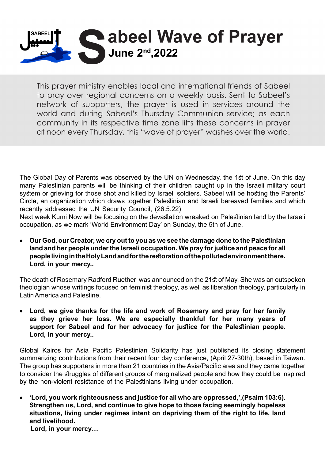

This prayer ministry enables local and international friends of Sabeel to pray over regional concerns on a weekly basis. Sent to Sabeel's network of supporters, the prayer is used in services around the world and during Sabeel's Thursday Communion service; as each community in its respective time zone lifts these concerns in prayer at noon every Thursday, this "wave of prayer" washes over the world.

The Global Day of Parents was observed by the UN on Wednesday, the 1st of June. On this day many Palestinian parents will be thinking of their children caught up in the Israeli military court system or grieving for those shot and killed by Israeli soldiers. Sabeel will be hosting the Parents' Circle, an organization which draws together Palestinian and Israeli bereaved families and which recently addressed the UN Security Council, (26.5.22)

Next week Kumi Now will be focusing on the devastation wreaked on Palestinian land by the Israeli occupation, as we mark 'World Environment Day' on Sunday, the 5th of June.

• Our God, our Creator, we cry out to you as we see the damage done to the Palestinian land and her people under the Israeli occupation. We pray for justice and peace for all people living in the Holy Land and for the restoration of the polluted environment there. Lord, in your mercy..

The death of Rosemary Radford Ruether was announced on the 21st of May. She was an outspoken theologian whose writings focused on feminist theology, as well as liberation theology, particularly in Latin America and Palestine.

Lord, we give thanks for the life and work of Rosemary and pray for her family as they grieve her loss. We are especially thankful for her many years of support for Sabeel and for her advocacy for justice for the Palestinian people. Lord, in your mercy..

Global Kairos for Asia Pacific Palestinian Solidarity has just published its closing statement summarizing contributions from their recent four day conference, (April 27-30th), based in Taiwan. The group has supporters in more than 21 countries in the Asia/Pacific area and they came together to consider the struggles of different groups of marginalized people and how they could be inspired by the non-violent resistance of the Palestinians living under occupation.

• 'Lord, you work righteousness and justice for all who are oppressed,',(Psalm 103:6). **Strengthen us, Lord, and continue to give hope to those facing seemingly hopeless** situations, living under regimes intent on depriving them of the right to life, land and livelihood. Lord, in your mercy...